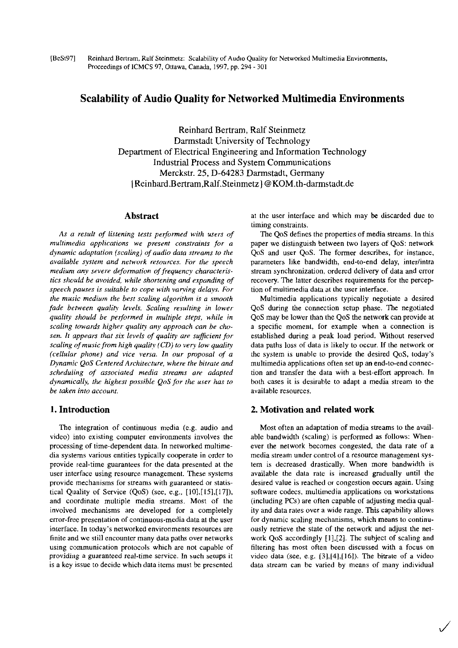(BeSt9:'I Reinhard Bertram. Ralf Steinmetz: Scalability of Audio Quality for Networked Multimedia Environments, Proceedings of lCMCS 97, Ottawa, Canada, 1997, pp. 294 - 301

# **Scalability of Audio Quality for Networked Multimedia Environments**

Reinhard Bertram, Raif Steinmetz Darmstadt University of Technology Department of Electricai Engineering and Information Technology Industriai Process and System Cornmunications Merckstr. 25, D-64283 Darmstadt, Germany **[Reinhard.Bertram,Ralf.Steinmetz]** @KOM.th-darmstadt.de

# **Abstract**

*As* **rr** *result of listening iests performed with users of multimedia applications we present constraints for a dynamic adaptation (scaling) of audio data streams to the available system and nehvork resources. For the speech*  medium any severe deformation of frequency characteris*tics sliould be avoided, while shortening and expanding of speech pauses is suitable to cope with vaving delays. For the mu;sic mediurn the besr scaling algorithrn is a smooth*  fade between quality levels. Scaling resulting in lower *qualiiy should be performed in multiple steps, while in*  scaling towards higher quality any approach can be cho*sen. It appears that six levels of quality are sufficient for scaling of music from high quality (CD) to very low quality (cellular phone) and vice versa. In our proposal of a Dynamic QoS Centered Architecture, where the bitrate and* scheduling of associated media streams are adapted *dynamically, the highest possible QoS for the user has ro be taken into account.* 

The integration of continuous media (e.g. audio and video) into existing Computer environments involves the processing of time-dependent data. In networked multimedia systems various entities typically cooperate in order 10 provide real-time guarantees for the data presented at the User interface using resource management. These systems provide mechanisms for streams with guaranteed or statistical Quality of Service  $(QoS)$  (see, e.g., [10],[15],[17]), and coordinate multiple media streams. Most of the involved mechanisms are developed for a completely error-free presentation of continuous-media data at the user interface. In today's networked environments resources are tinite and we still encounter many data paths over networks using communication protocols which are not capable of providing a guaranteed real-time service. In such setups it is a key issue to decide which data items must be presented at ihe User interface and which may **be** discarded due to timing constraints.

The QoS defines the properties of media streams. In this paper we distinguish between two layers of QoS: network QoS and user QoS. The former describes, for instance, parameters like bandwidth, end-to-end delay, inter/intra stream synchronization, ordered delivery of data and error recovery. The latter descnbes requirements for the perception of multimedia data at the user interface.

Multimedia applications typically negotiate a desired QoS during the connection setup phase. The negotiated QoS may be lower than the QoS the network can provide at a specific momeni, for example when a connection is established during a peak load period. Without reserved data paths loss of data is likely to occur. If the network or rhe system is unable to provide the desired QoS. today's multimedia applications often set up an end-to-end connection and transfer the data with a best-effort approach. In both cases it is desirable to adapt a media stream to the available resources.

## **1. Introduction 2. Motivation and related work**

Most often an adaptation of media streams to the available bandwidth (scaling) is perfomed **as** follows: Whenever the network becomes congested, the data rate of a media stream under control of a resource management system is decreased drastically. When more bandwidth is availahle the data rate is increased gradually until the desired value is reached or congestion occurs again. Using software codecs, multimedia applications on workstations (including PCs) are often capable of adjusting media quality and data rates over a wide range. This capability allows for dynamic scaling mechanisms, which means to continuously retrieve the state of the network and adjust the network QoS accordingly [1].[2]. The suhject of scaling and filtering has most often been discussed with a focus on video data (see, e.g. [3],[4],[16]). The bitrate of a video data stream can be varied hy means of many individual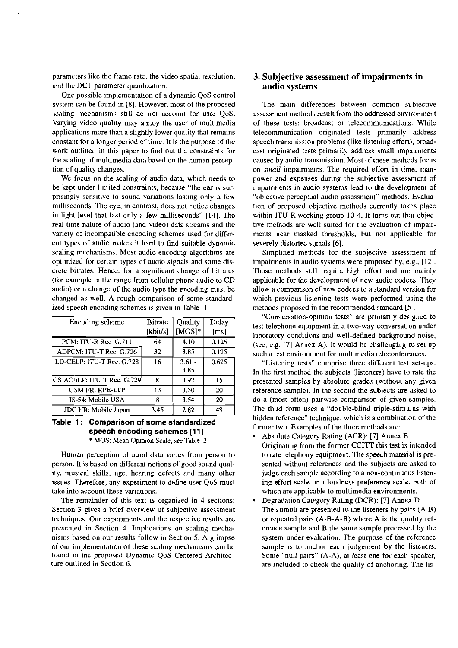parameters like the frame rate, the video spatial resolution. and the DCT parameter quantization.

One possible implementation of a dynamic QoS control system can be found in **[g].** However, most of the proposed scaling mechanisms still do not account for user QoS. Varying video quality may annoy the user of multimedia applications more than a slightly lower quality that remains constarit for a longer period of time. Ir is the purpose of the work outlined in this paper to find out the constraints for the scaling of multimedia data based on the human perception of quality changes.

We focus on the scaling of audio data, which needs to be kept under limited constraints, because "the ear is surprisingly sensitive to sound variations lasting only a few milliseconds. The eye, in contrast, does not notice changes in light level that last only a few milliseconds" [14]. The real-time nature of audio (and video) data streams and the variety of incompaiible encoding schemes used for different types of audio makes it hard to find suitable dynamic scaling mechanisms. Most audio encoding algorithms are optimized for certain types of audio signals and some discrete hitrates. Hence. for a significant change of hitrates (for example in the range from cellular phone audio to CD audio) or a change of the audio type the encoding must be changed as well. A rough comparison of some standardized speech encoding schemes is given in Table **1.** 

| Encoding scheme            | <b>B</b> itrate | Quality  | Delay              |
|----------------------------|-----------------|----------|--------------------|
|                            | [kbit/s]        | $[MOS]*$ | $\lceil ms \rceil$ |
| PCM: ITU-R Rec. G.711      | 64              | 4.10     | 0.125              |
| ADPCM: ITU-T Rec. G.726    | 32              | 3.85     | 0.125              |
| LD-CELP: ITU-T Rec. G.728  | 16              | $3.61 -$ | 0.625              |
|                            |                 | 3.85     |                    |
| CS-ACELP: ITU-T Rec. G.729 | 8               | 3.92     | 15                 |
| <b>GSM FR: RPE-LTP</b>     | 13              | 3.50     | 20                 |
| IS-54: Mobile USA          | 8               | 3.54     | 20                 |
| JDC HR: Mobile Japan       | 3.45            | 2.82     | 48                 |

#### **Table 1** : **Comparison of sorne standardized speech encoding schernes [I 11**  \* MOS: Mean Opinion Scale, **see** Table 2

Human perception of aural data varies from person to person. It is based on different notions of good sound quality, musical skills, age, hearing defects and many other issues. Therefore, any experiment to define user OoS must take into account these variations.

The remainder of this text is organized in **4** sections: Section **3** gives a brief overview of subjective assessment techniques. Our experiments and the respective results are presented in Section 4. Implications on scaling mechanisms based on our results follow in Section 5. A glimpse of our implementaiion of these scaling mechanisms can he found in the proposed Dynamic QoS Centered Architecture outlined in Section 6.

# **3. Subjective assessment of impairments in audio systems**

The main differences hetween common subjective assessment methods result from the addressed environment of these tests: broadcast or telecommunications. While telecommunication originated tests primarily address speech transmission problems (like listening effort), broadcast originated tests primarily address small impairments caused by audio transmission. Most of these methods focus on *small* impairments. The required effort in time, manpower and expenses during the subjective assessment of impairments in audio systems lead to the development of "ohjective perceptual audio assessment" methods. Evaluation of proposed objective methods currently takes place within ITU-R working group 10-4. It turns out that objective methods are well suited for the evaluation of impairments near masked thresholds. hut not applicable for severely distorted signals [6].

Simplified methcds for the suhjective assessment of impairments in audio systems were proposed by, e.g., [12]. Those methods still require high effort and are mainly applicable for the development of new audio codecs. They allow a comparison of new codecs to a standard version for which previous listening tests were performed using the methods proposed in the recommended standard [5].

"Conversation-opinion tests" are primarily designed to test telephone equipment in a two-way conversation under laboratory conditions and well-defined background noise, (see, e.g. [7] Annex A). It would be challenging to set up such a test environment for multimedia teleconferences.

"Listening tests" comprise three different test set-ups. In the first method the subjects (listeners) have to rate the presented samples by absolute grades (without any given reference sample). In the second the subjects are asked to do a (most often) pairwise comparison of given samples. The third form uses a "double-blind triple-stimulus with hidden reference" technique, which is a combination of the former two. Examples of the three methods are:

- Absolute Category Raling (ACR): [7] Annex B Originating from the former CCIlT this test is intended to rate telephony equipment. The speech material is presented without references and the subjects are asked to judge each sample according to a non-continuous listening effort scaie or a loudness preference scale, both of which are applicahle to multimedia environments.
- Degradation Category Rating (DCR): [7] Annex D The stimuli are presented to the listeners by pairs (A-B) or repeated pairs (A-B-A-B) where A is the quality reference sample and B the same sampIe processed by the system under evaluation. The purpose of the reference sample is to anchor each judgement by the listeners. Some "null pairs" (A-A), at least one for each speaker. are included to check the quality of anchoring. The lis-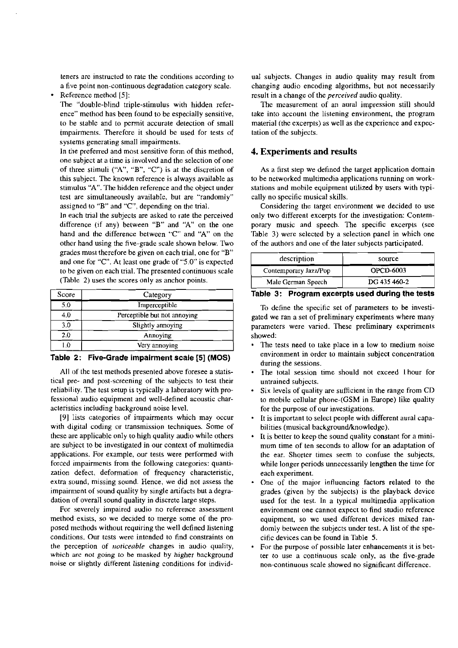teners are instructed to rate the conditions according to a five point non-continuous degradation category scale.

Reference method **[SI:** 

**The:** "double-blind triple-stimulus with hidden reference" method has been found to be especially sensitive, to be stable and to permit accurate detection of small impairments. Therefore it should be used for tests of sysiems generating small impairments.

In the preferred and most sensitive form of this method, one subject at a time is involved and thc selection of one of three stimuli ("A", "B", "C") is at the discretion of this subject. The known reference is always available as stimulus "A". The hidden reference and the object under test are simultaneously available, but are "randomly" assigned to "B" and "C", depending on the trial.

In each trial the subjects are asked to rate the perceived difference (if any) between "B" and "A" on the one hand and the difference between "C" and "A" on the other hand using the five-grade scale shown below. Two grades must therefore be given on each trial, one for "B" and one for "C". At least one grade of "5.0" is expected to be given on each trial. The presented continuous scale (Table  $2$ ) uses the scores only as anchor points.

| Score | Category                     |  |
|-------|------------------------------|--|
| 5.0   | Imperceptible                |  |
| 4.0   | Perceptible but not annoying |  |
| 3.0   | Slightly annoying            |  |
| 2.0   | Annoving                     |  |
|       | Very annoving                |  |



All of the test methods presented above foresee a statistical pre- and post-screening of the subjects to fest their reliability. The tesi setup is typically a laboratory with professional audio equipment and well-defined acoustic characteristics including background noise level.

**[9]** lists categories of impairments which may occur with digital coding or transmission techniques. Some of these are applicable only to high quality audio while others are subject to be investigated in our context of multimedia applications. For example, our tests were performed with forced impairments from the following categories: quantization defect, deformation of frequency characteristic, extra sound, missing sound. Hence, we did not assess the impairment of sound quality by single artifacts but a degradation of overall sound quality in discrete large steps.

For severely impaired audio no reference assessment method exists, so we decided to merge some of the proposed niethods without requiring the well defined listening conditions. Our tests were intended to find constraints on the perception of *noticeable* changes in audio quality, which **are** not going to be masked by higher background noise or slightly different listening conditions for individ-

ual subjects. Changes in audio quality may result from changing audio encoding algorithms, but not necessarily result in a change of the *perceived* audio quality.

The measurement of an aural impression still should take into account the listening environment, the program material (the excerpts) as well as the experience and expectation of the subjects.

## **4. Experiments and results**

As a first step we defined the target application domain to be networked multimedia applications running on workstations and mobile equipment utilized by Users with typically no specific musical skills.

Considering the iarget environment we decided to use only two different excerpts for the investigation: Contemporary music and Speech. The specific excerpts (see Table 3) were selected hy a selection panel in which one of the authors and one of the later subjects participated.

| description           | source           |
|-----------------------|------------------|
| Contemporary Jazz/Pop | <b>OPCD-6003</b> |
| Male German Speech    | DG 435 460-2     |

**Table 3: Program excerpts used during the tests** 

To define the specific set of parameters to **be** investigated we ran a set of preliminary experiments where many parameters were varied. These preliminary experiments showed:

- The tests need to take place in a low to medium noise environment in order to maintain subject concentration during the sessions.
- The total session time should not exceed l hour for untrained subjects.
- Six levels of quality are sufficient in the range from CD to mobile cellular phone-(GSM in Europe) like quality for the purpose of our investigations.
- It is important to select people with different aural capabilities (musical background/knowledge).
- It is better to keep the sound quality constant for a minimum time of ten seconds to allow for an adaptation of the ear. Shorter times seem to confuse the subjects, while longer periods unnecessarily lengthen the time for each experiment.
- One of the major influencing factors related to the grades (given by the subjects) is the pIayback device used for the test. In a typical multimedia application environment one cannot expect to find studio reference equipment, so we used different devices mixed randomly between the subjects under test. A list of the specific devices can be found in Table 5.
- For the purpose of possible later enhancements it is better to use a continuous scale only, **as** the five-grade non-continuous scale showed no significant difference.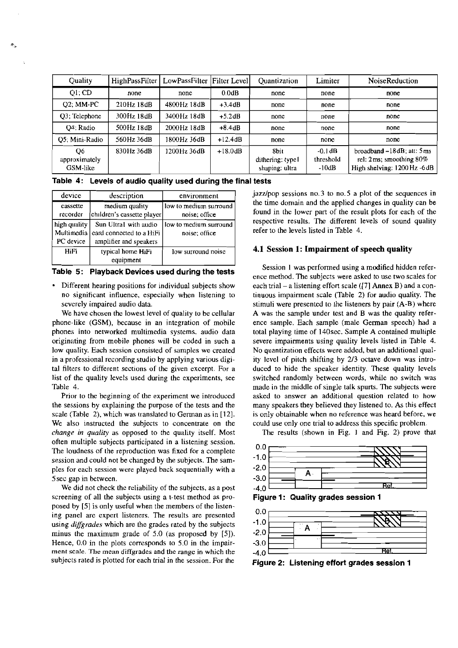| Quality                                                                                                                                                                                                     |  | HighPassFilter                                                              | LowPassFilter   Filter Level            |            | Quantization                                                                                        | Limiter                                                                                                                                                                                                                                                                                                               | NoiseReduction                                                                                |
|-------------------------------------------------------------------------------------------------------------------------------------------------------------------------------------------------------------|--|-----------------------------------------------------------------------------|-----------------------------------------|------------|-----------------------------------------------------------------------------------------------------|-----------------------------------------------------------------------------------------------------------------------------------------------------------------------------------------------------------------------------------------------------------------------------------------------------------------------|-----------------------------------------------------------------------------------------------|
| $Q1$ , CD                                                                                                                                                                                                   |  | none                                                                        | none                                    | 0.0dB      | none                                                                                                | none                                                                                                                                                                                                                                                                                                                  | none                                                                                          |
| Q2; MM-PC                                                                                                                                                                                                   |  | 210Hz 18dB                                                                  | 4800Hz 18dB                             | $+3.4dB$   | none                                                                                                | none                                                                                                                                                                                                                                                                                                                  | none                                                                                          |
| Q3; Telephone                                                                                                                                                                                               |  | 300Hz 18dB                                                                  | 3400Hz 18dB                             | $+5.2dB$   | none                                                                                                | none                                                                                                                                                                                                                                                                                                                  | none                                                                                          |
| Q4: Radio                                                                                                                                                                                                   |  | 500Hz 18dB                                                                  | 2000Hz 18dB                             | $+8.4dB$   | none                                                                                                | none                                                                                                                                                                                                                                                                                                                  | none                                                                                          |
| Q5; Mini-Radio                                                                                                                                                                                              |  | 560Hz 36dB                                                                  | 1800Hz 36dB                             | $+12.4$ dB | none                                                                                                | none                                                                                                                                                                                                                                                                                                                  | none                                                                                          |
| Q6<br>approximately<br>GSM-like                                                                                                                                                                             |  | 830Hz 36dB                                                                  | 1200Hz 36dB                             | $+18.0dB$  | 8bit<br>dithering: type1<br>shaping: ultra                                                          | $-0.1$ dB<br>threshold<br>$-10dB$                                                                                                                                                                                                                                                                                     | broadband $-18dB$ ; att: 5 ms<br>rel: $2ms$ ; smoothing $80\%$<br>High shelving: 1200 Hz -6dB |
| Table 4: Levels of audio quality used during the final tests<br>device<br>description<br>environment                                                                                                        |  |                                                                             |                                         |            |                                                                                                     |                                                                                                                                                                                                                                                                                                                       | jazz/pop sessions no.3 to no.5 a plot of the sequences in                                     |
| cassette<br>recorder                                                                                                                                                                                        |  | medium quality<br>children's cassette player                                | low to medium surround<br>noise, office |            |                                                                                                     | the time domain and the applied changes in quality can be<br>found in the lower part of the result plots for each of the                                                                                                                                                                                              |                                                                                               |
| high quality<br>Multimedia<br>PC device                                                                                                                                                                     |  | Sun Ultral with audio<br>eard connected to a HiFi<br>amplifier and speakers | low to medium surround<br>noise; office |            | respective results. The different levels of sound quality<br>refer to the levels listed in Table 4. |                                                                                                                                                                                                                                                                                                                       |                                                                                               |
| HiFi                                                                                                                                                                                                        |  | typical home HiFi<br>equipment                                              | low surround noise                      |            | 4.1 Session 1: Impairment of speech quality                                                         |                                                                                                                                                                                                                                                                                                                       |                                                                                               |
| Table 5: Playback Devices used during the tests<br>Different hearing positions for individual subjects show<br>٠<br>no significant influence, especially when listening to<br>severely impaired audio data. |  |                                                                             |                                         |            |                                                                                                     | Session 1 was performed using a modified hidden refer-<br>ence method. The subjects were asked to use two scales for<br>each trial – a listening effort scale ( $[7]$ Annex B) and a con-<br>tinuous impairment scale (Table 2) for audio quality. The<br>stimuli were presented to the listeners by pair (A-B) where |                                                                                               |

**Table 4: Levels of audio quality used during the final tests** 

| device       | description                | environment            |
|--------------|----------------------------|------------------------|
| cassette     | medium quality             | low to medium surround |
| recorder     | children's cassette player | noise, office          |
| high quality | Sun Ultral with audio      | low to medium surround |
| Multimedia   | eard connected to a HiFi   | noise; office          |
| PC device    | amplifier and speakers     |                        |
| HiFi         | typical home HiFi          | low surround noise     |
|              | equipment                  |                        |

We have chosen the lowest level of quality to be cellular phone-like (GSM), because in an integration of mobile phones into nerworked multimedia Systems. audio data originsting from mobile phones will be coded in such a low quality. Each session consisted of samples we created in a professional recording studio by applying various digital filters to different sections of the given excerpt. For a list of the quality levels used during the experiments, see Table 4.

Prior to the beginning of the cxperiment we introduced the sessions by explaining the purpose of the tests and the scale (Table 2), which was translated to German as in [12]. We also instructed the subjects to concentrate on the *changc in qualifV* as opposed to the quality itself. Most often multiple subjects participated in a listening session. The loudness of the reproduction was fixed for a complete session and could not be changed by the subjects. The samples for each session were played back sequeniially with a 5sec gap in between.

We did not check the reliability of the subjects, as a post screening of all the subjects using a t-test method as proposed by [5] is only useful when the members of the listening panel are expert listeners. The results are presented using *diffgrades* which are the grades rated by the subjects minus the maximum grade of  $5.0$  (as proposed by  $[5]$ ). Hence,  $0.0$  in the plots corresponds to  $5.0$  in the impairment scale. The mean diffgrades and the range in which the subjects rated is plotted for each trial in the session. For the

#### 4.1 Session 1: Impairment of speech quality

**Figure 1.1 5: Playback Devices used during the tests** Session 1 was performed using a modified hidden refer-<br>Table 5: Playback Devices used during the tests ence method. The subjects were asked to use two scales for each trial- a listening effort scale **([7]** Annex B) and a continuous impairment scale (Table 2) for audio quality. The stimuli were presented io the listeners by pair (A-B) where A was the sample under test and B was the quality reference sample. Each sample (male German speech) had a total playing iime of 140sec. Sample **A** contained multiple severe impairments using quality levels listed in Table 4. No quantization effects were added, but an additional quality level of pitch shifting by 213 octave down was introduced to hide the speaker identity. These quality levels switched randomly hetween words, while no switch was made in the middle of single talk spurts. The subjects were asked to answer an additional question related io how many speakers they believed they listened to. As this effect is only obtainable when no reference was heard before, we could use only one trial to address this specific problem.

The results (shown in Fig. 1 and Fig. 2) prove that



**Figure 1: Quality grades session 1** 



**Figure 2: Listening effort grades session 1**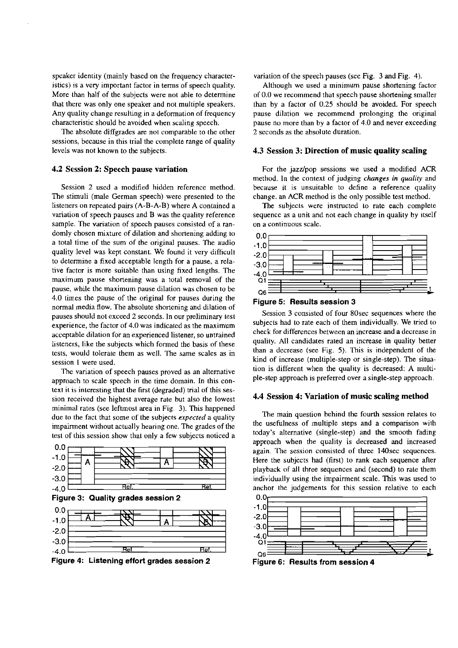speaker identity (mainly based on the frequency characteristics) is a very important factor in terms of speech quality. More than half of the subjects were not able to determine that there was only one speaker and not multiple speakers. Any quality change resulting in a deformation of frequency characteristic should be avoided when scaling speech.

The absolute diffgrades are not comparable to the other sessions, because in this trial the complete range of quality levels was not known to the subjects.

## **4.2 Session 2: Speech pause variation**

Session 2 used a modified hidden reference method. The stimuli (male German speech) were presented to the listeners on repeated pairs (A-B-A-B) where A contained a variation of speech pauses and B was the quality reference sample. The variation of speech pauses consisted of a randomly chosen mixture of dilation and shortening adding to a total time of the sum of the original pauses. The audio quality level was kept constant. We found it very difficult to determine a fixed acceptable length for a pause, a relative factor is more suitable than using fixed lengihs. The maximum pause shonening was a total removal of the pause, while the maximum pause dilation was chosen to be 4.0 times the pause of the original for pauses dwing the normal media flow. The absolute shortening and dilation of pauses should not exceed 2 seconds. In our preliminary lest experience, the factor of 4.0 was indicated as the maximum acceptable dilation for an experienced listener, so untrained listeners, like the subjects which fomed the basis of these tests, would tolerate them as well. The Same scales as in session I were used.

The variation of speech pauses proved as an alternative approach to scale speech in the time domain. In this context it is interesting that the first (degraded) trial of this session received the highest average rate but also the lowest minimal rates (see leftmosi area in Fig. 3). This happened due to the fact that some of the subjecis *expected* a quality impairment without actually hearing one. The grades of the test of this session show that only a few subjects noticed a



**Figure 4: Listening etfort grades session 2** 

variation of the speech pauses (see Fig. 3 and Fig. 4).

Although we used a minimum pause shortening factor of 0.0 we recommend that speech pause shortening smaller than by a factor of 0.25 should be avoided. For speech pause dilation we recommend prolonging the original pause no more than by a faclor of 4.0 and never exceeding 2 seconds as the absolute duration.

### **4.3 Session 3: Direction of music quality scaling**

For the jazz/pop sessions we used a modified ACR method. In the context of judging *changes in* **quality** and because it is unsuitable to define a reference quality change. an ACR method is the only possible test method.

The subjects were instructed to rate each complete sequence as a unit and not each change in quality by itself on a continuous scale.



#### **Figure 5: Results session 3**

Session 3 consisted of fow 80sec sequences where the subjects had to rate each of them individually. We tried to check for differences between an increase and a decrease in quality. All candidates rated an increase in quality better than a decrease (see Fig. 5). This is independent of the kind of increase (multiple-step or single-step). The situation is different when the quality is decreased: A multiple-step approach is preferrcd over a single-step approach.

#### **4.4 Session 4: Variation of music scaling method**

The main question behind the fourth session relates to the usefulness of multiple steps and a comparison with today's alternative (single-step) and the smooth fading approach when the quality is decreased and increased again. The session consisted of three 140sec sequences. Here the subjects had (first) to rank each sequence after playback of all three sequences and (second) to rate them individually using the impairment scale. This was used to anchor ihe judgements for this session relative to each  $0.0$ 

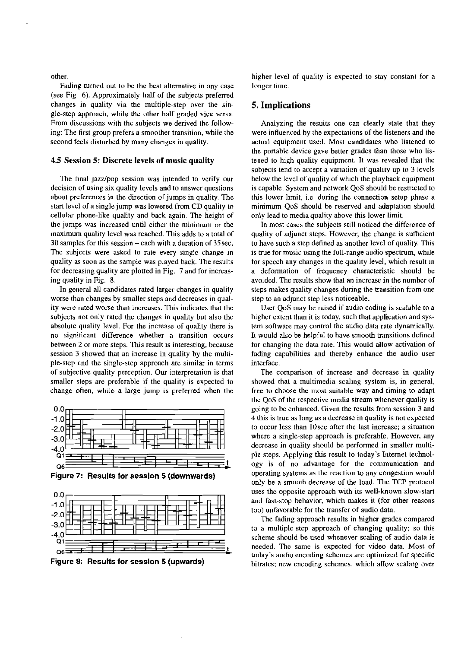other.

Fading tumed out to be the best alternative in any case (see Fig. 6). Approximately half of the subjects preferred changes in quality via the multiple-step over the single-step approach, while the other half graded vice versa. From discussions with the subjects we derived the following: The first group prefers a smoother transition. while the second feels disturbed by many changes in quality.

### **4.5 Session 5: Discrete levels of music quality**

The final jazz/pop session was intended to verify our decision of using six quality levels and to answer questions about preferences in the direction of jumps in quality. The stari level of a single jump was lowered from CD quality to cellular phone-like quality and back again. The height of the junips was increased until either the minimum or the maximum quality level was reached. This adds to a total of  $30$  samples for this session  $-$  each with a duration of  $35$  sec. The subjects were asked to rate every single change in quality as soon as the sample was played back. The results for decreasing quality are plotted in Fig. 7 and for increasing quality in Fig. 8.

In general all candidates rated larger changes in quality worse than changes by smaller steps and decreases in quality were rated worse than increases. This indicates that the subjects not only rated the changes in quality but also the absolute quality level. For the increase of quality there is no significant difference whether a transition occurs between 2 or more steps. This result is interesting. because session 3 showed that an increase in quality by the multiple-step and the single-step approach are similar in terms of subjective quality perception. Our interpretation is that smaller steps are preferable if the quality is expected to change often, while a large jump is preferred when the



**Figure 7: Results for session 5 (downwards)** 



**Figure 8: Results for session 5 (upwards)** 

higher level of quality is expected to stay constant for a longer time.

#### **5. Implications**

Analyzing the results one can clearly state that they were influenced by the expectations of the listeners and the actual equipment used. Most candidates who listened to the portable device gave better grades than those who listened to high quality equipment. It was revealed that the subjects tend to accept a variation of quality up to 3 levels below the level of quality of which the playback equipment is capable. System and network QoS should be restricted to this lower limit. i.e. during the connection setup phase a minimum QoS should be reserved and adaptation should only lead to media quality above this lower limit.

In most cases the subjects still noticed the difference of quality of adjunct steps. However, the change is sufficient to have such a step defined as another level of quality. This is true for music using the full-range audio spectrum, while for speech any changes in the quality level, which result in a deformation of frequency characteristic should be avoided. The results show that an increase in the number of steps makes quality changes during the transition from one step to an adjunct step less noticeable.

User QoS may be raised if audio coding is scalable to a higher extent than it is today, such that application and system software may control the audio data rate dynamically. It would also be helpful to have smooth transitions defined for changing the data rate. This would allow activation of fading capabilities and thereby enhance the audio user interface.

The comparison of increase and decrease in quality showed that a multimedia scaling system is, in general, free to choose the most suitable way and timing to adapt the QoS of the respective media stream whenever quality is going to be enhanced. Given the results from session 3 and 4 this is true as long as a decrease in quality is not expected to occur less than lOsec after rhe last increase; a situation where a single-step approach is preferable. However, any decrease in quality should be performed in smaller multiple steps. Applying this result to today's Internet technology is of no advantage for the communication and operating Systems as the reaction to any congestion would only be a smooth decrease of the load. The TCP protocol uses the opposite approach with its well-known slow-stari and fast-stop behavior, which makes it (for other reasons too) unfavorable for the transfer of audio data.

The fading approach results in higher grades compared to a multiple-step approach of changing quality: so this scheme should be used whenever scaling of audio data is needed. The same is expected for video data. Most of today's audio encoding schemes are optimized for specific bitrates; new encoding schemes, which alIow scaling over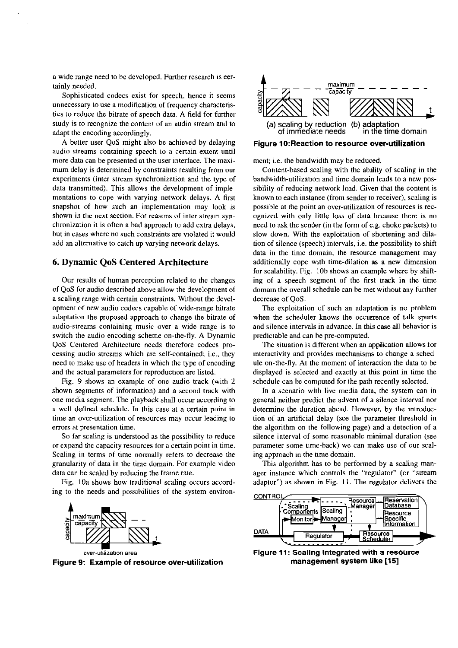a wide range need to be developed. Further research is eertainly needed.

Sophisticated codecs exist for speech, hence it seems unnecessary to use a modification of frequency characteristics to reduce the bitrate of speech data. A field for further study is to recognize the content of an audio stream and to adapt the encoding accordingly.

A better user QoS might also be achieved by delaying audio streams containing speech to a certain extent until more data can be presented at the user interface. The maximum delay is determined by constraints resulting from our experiments (inter stream synchronization and the type of data transmitted). This allows the development of implementations to cope with varying network delays. A first snapshot of how such an implementation may look is shown in the next section. For reasons of inter stream synchronization it is often a bad approach to add extra delays, but in cases where no such constraints are violated it would add an alternative to catch up varying network delays.

# **6. Dynamic QoS Centered Architecture**

Our results of human perception related to the changes of QoS for audio described above allow the development of a scaling range with certain constraints. Without the development of new audio codecs capable of wide-range bitrate adaptation the proposed approach to change the bitrate of audio-streams containing music over a wide range is to switch the audio encoding scheme on-the-fly. A Dynamic QoS Centered Archiiecture needs thercfore codecs processing audio streams which are self-contained; i.e., they need to make use of headers in which the type of encoding and the actual parameiers for reproduction are listed.

Fig. 9 shows an example of one audio track (with 2 shown segments of information) and a second track with one media segment. The playback shall occur according to a well defined schedule. In this case at a certain point in iime an over-utilization of resources may occur leading to errors at presentation time.

So far scaling is understood as the possibility to reduce or expand the capacity resources for a certain point in time. Scaling in terms of time normally refers to decrease the granularity of data in ihe time domain. For example video data can be scaled by reducing the frame rate.

Fig. IOa shows how iraditional scaling occurs according to the needs and possibilities of the system environ-



**Figure 9: Example of resource over-utilization** 



**Figure 10:Reaction to resource over-utilization** 

ment; i.e. the bandwidth may be reduced.

Content-based scaling with the ability of scaling in the bandwidth-utilization and time domain leads to a new possibility of reducing network load. Given that the content is known to each instanee (from sender to receiver), scaling is possible at ihe point an over-utilization of resources is recognized with only little loss of data because there is no need to ask the sender (in the form of e.g. choke packets) to slow down. With the exploitation of shortening and dilation of silence (speech) iniervals. i.e. the possibility to shift data in the time domain. ihe resource management may additionally cope with time-dilation as a new dimension for scalability. Fig. 10b shows an example where by shifting of a speech segment of the first track in the time domain the overall schedule can be met without any further decrease of QoS.

The exploitation of such an adaptation is no problem when the scheduler knows the occurrence of talk spurts and silence intervals in advance. In this case all behavior is predictable and can be pre-computed.

The situation is different when an application allows for inleractivity and provides mechanisms to change a schedule on-the-fly. At the moment of interaction the data to be displayed is selected and exactly at this point in time the schedule can be computed for the path recently selected.

In a scenario with live media data, the system can in general neither predict the advent of a silence interval nor determine the duration ahead. However, by the introduction of an artificial delay (see the parameter threshold in the algorithm on the following page) and a detection of a silence interval of some reasonable minimal duration (see parameter some-time-back) we can make use of our scaling approach in the time domain.

This algorithm has to be performed by a scaling manager insiance which controls the "regulator" (or "siream adaptor") as shown in Fig. 11. The regulator delivers the



**Figure 11: Scaling integrated with a resource management system like [I51**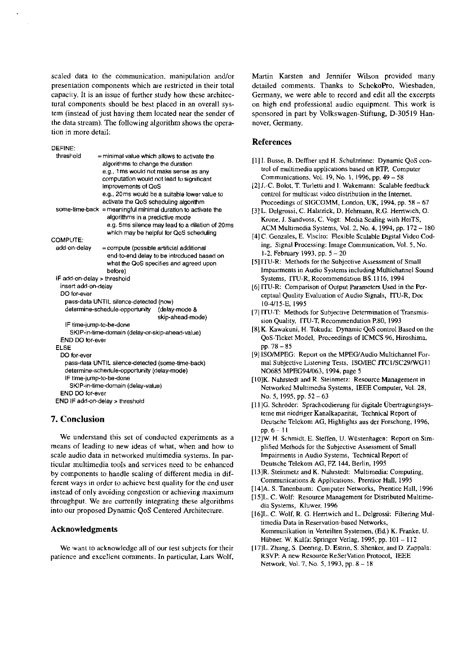scaled data to the communication. manipulation and/or presentation components which are restricted in their total capaciry. It is an issue of further study how these architectural components should be best placed in an overall system (instead of just having them located near the sender of the data stream). The following algorithm shows the operation in more detail:

| DEFINE:                     |                                                                                                                                                                                                                                                  |
|-----------------------------|--------------------------------------------------------------------------------------------------------------------------------------------------------------------------------------------------------------------------------------------------|
| threshold                   | = minimal value which allows to activate the<br>algorithms to change the duration<br>e.g., 1 ms would not make sense as any<br>computation would not lead to significant<br>improvements of OoS<br>e.g., 20ms would be a suitable lower value to |
|                             | activate the QoS scheduling algorithm<br>some-time-back $=$ meaningful minimal duration to activate the<br>algorithms in a predictive mode<br>e.g. 5ms silence may lead to a dilation of 20ms<br>which may be helpful for QoS scheduling         |
| COMPUTE:                    |                                                                                                                                                                                                                                                  |
| add-on-delay                | = compute (possible artificial additional<br>end-to-end delay to be introduced based on<br>what the QoS specifies and agreed upon<br>before)                                                                                                     |
| IF add-on-delay > threshold |                                                                                                                                                                                                                                                  |
| insert add-on-delay         |                                                                                                                                                                                                                                                  |
| DO for-ever                 |                                                                                                                                                                                                                                                  |
|                             | pass-data UNTIL silence-detected (now)                                                                                                                                                                                                           |
|                             | determine-schedule-opportunity<br>(delay-mode &                                                                                                                                                                                                  |
|                             | skip-ahead-mode)                                                                                                                                                                                                                                 |
| IF time-jump-to-be-done     |                                                                                                                                                                                                                                                  |
|                             | SKIP-in-time-domain (delay-or-skip-ahead-value)                                                                                                                                                                                                  |
| END DO for-ever             |                                                                                                                                                                                                                                                  |
| ELSE                        |                                                                                                                                                                                                                                                  |
| DO for-ever                 |                                                                                                                                                                                                                                                  |
|                             | pass-data UNTIL silence-detected (some-time-back)                                                                                                                                                                                                |
|                             | determine-schedule-opportunity (delay-mode)                                                                                                                                                                                                      |
| IF time-jump-to-be-done     |                                                                                                                                                                                                                                                  |
|                             | SKIP-in-time-domain (delay-value)                                                                                                                                                                                                                |
| END DO for-ever             |                                                                                                                                                                                                                                                  |
|                             | END IF add-on-delay > threshold                                                                                                                                                                                                                  |

# **7. Conclusion**

We understand this set of conducted experiments as a means of leading to new ideas of what, when and how to scale audio data in networked multimedia Systems. In particular multimedia tools and services need to be enhanced by components to handle scaling of different media in different ways in order to achieve best quality for the end user instead of only avoiding congestion or achieving maximum throughput. We are currently integrating these algorithrns into our proposed Dynamic QoS Centered Architecture.

## **Acknowledgments**

We want to acknowledge all of our test subjects for their patience and excellent comments. In particular, Lars Wolf, Martin Karsten and Jennifer Wilson provided many detailed comments. Thanks to SchokoPro. Wiesbaden, Germany, we were able to record and edit all the excerpts on high end professional audio equipment. This work is sponsored in part by Volkswagen-Stiftung. D-30519 Hannover, Germany.

# **References**

- [1] I. Busse, B. Deffner and H. Schulzrinne: Dynamic OoS control of multimedia applications based on RTP. Computer Communications. Vol. 19, No. 1, 1996, pp.  $49 - 58$
- [2]J.-C. Bolot, T. Turletti and I. Wakemann: Scalable feedback control for multicast video distribution in the Intemet, Proceedings of SIGCOMM, London, UK, 1994, pp. 58 - 67
- [3]L. Delgrossi, C. Halstrick, D. Hehmann, R.G. Hemwich, 0. Krone, J. Sandvoss, C. Vogt: Media Scaiing wilh HciTS, ACM Multimedia Systems, Vol. 2, No. 4, 1994. pp. 172 - <sup>180</sup>
- [4] C. Gonzales, E. Viscito: Flexible Scalable Digital Video Coding. Signal Processing: Image Communicalion, Vol. 5, No. 1.2. Febmary 1993. pp. 5 - <sup>20</sup>
- [5] ITL-R: Methods for thc Subjective Assessment of Small lmpairments in Audio Systems including Multiehannel Sound Systems, ITV-R, Rccommendation BS.1116,1994
- [6] ITU-R: Comparison of Output Parameters Used in the Perceptual Quality Evaluarion of Audio Signals. ITl-R. Doc IO-4115-E, 1995
- [71 ITV-T: Methods for Subjective Determination of Transmission Qualiry, ITV-T, Recommendation P.80, 1993
- 181 K. Kawakuni, **H.** Tokuda: Dynamic QoS control Based on the QoS-Ticket Model, Proceedings of ICMCS 96, Hiroshima, pp. 78 - <sup>85</sup>
- [9] ISO/MPEG: Report on the MPEG/Audio Multichannel Formal Subjective Listening Tests, ISO/IEC JTC1/SC29/WG11 NO685 MPEG941063.1994. page 5
- [IOIK. Nahrstedt and R. Steinmetz: Resource Management in Networked Multimedia Systems, IEEE Computer. Vol. 28, No. 5, 1995. pp. 52- 63
- [11]G. Schröder: Sprachcodierung für digitale Übertragungssysteme mit niedriger Kanalkapazitat, Technical Report of Deutsche Telekom AG, Highlights aus der Forschung, 1996, pp.  $6 - 11$
- (121W. H. Schmidt, E. Steffen, U. Wüstenhagen: Report on Simplified Methods for the Subjective Assessment of Small lmpairments in Audio Systems, Technicai Report of Deutsche Telekom AG, FZ 144, Berlin, 1995
- [13]R. Steinmetz and K. Nahrstedt: Multimedia: Computing, Communications & Applications. Prentice Hall. 1995
- [14]A. S. Tanenbaum: Computer Networks, Prentice Hall, 1996
- [15]L. C. Wolf: Resource Management for Distributed Multimedia Systems, Kluwer, 1996
- [16]L. C. Wolf, R. G. Herrtwich and L. Delgrossi: Filtering Multimedia Data in Reservation-based Networks. Kommunikation in Verteilten Systemen, (Ed.) K. Franke. U. Hübner. W. Kalfa: Springer Verlag, 1995, pp. 101 - 112
- [17]L. Zhang. S. Deering, D. Estrin, S. Shenker, and D. Zappala: RSVP: A new Resource Reservation Protocol. IEEE Network, Vol. 7, No. 5, 1993, pp. 8 - 18